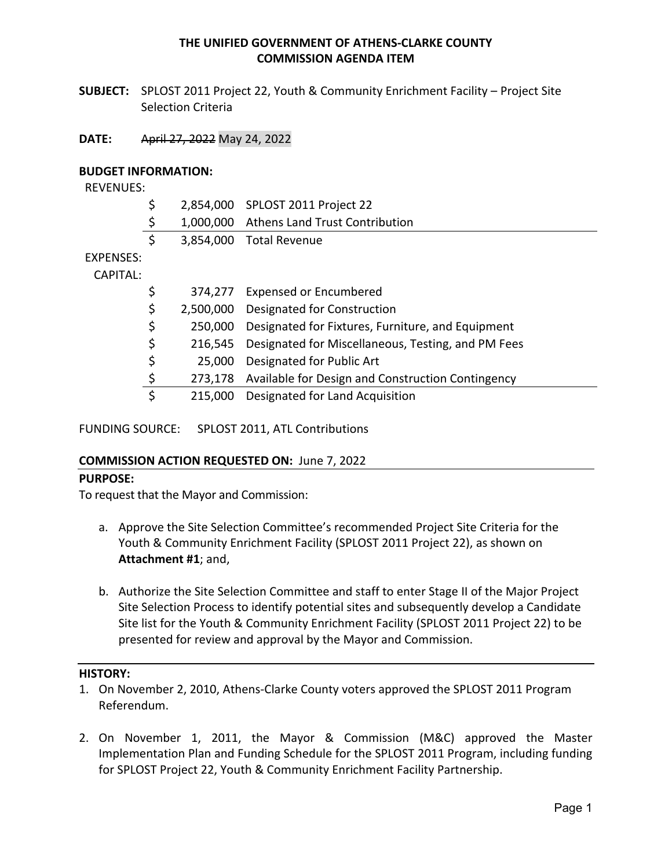#### **THE UNIFIED GOVERNMENT OF ATHENS‐CLARKE COUNTY COMMISSION AGENDA ITEM**

**SUBJECT:**  SPLOST 2011 Project 22, Youth & Community Enrichment Facility – Project Site Selection Criteria

#### **DATE:**  April 27, 2022 May 24, 2022

#### **BUDGET INFORMATION:**

REVENUES:

|           | \$              | 2,854,000 SPLOST 2011 Project 22                   |
|-----------|-----------------|----------------------------------------------------|
|           | \$              | 1,000,000 Athens Land Trust Contribution           |
|           | \$              | 3,854,000 Total Revenue                            |
| EXPENSES: |                 |                                                    |
| CAPITAL:  |                 |                                                    |
|           | \$              | 374,277 Expensed or Encumbered                     |
|           | \$<br>2,500,000 | Designated for Construction                        |
|           | \$<br>250,000   | Designated for Fixtures, Furniture, and Equipment  |
|           | \$<br>216,545   | Designated for Miscellaneous, Testing, and PM Fees |
|           | \$<br>25,000    | Designated for Public Art                          |
|           | \$<br>273,178   | Available for Design and Construction Contingency  |
|           | \$<br>215,000   | Designated for Land Acquisition                    |
|           |                 |                                                    |

FUNDING SOURCE: SPLOST 2011, ATL Contributions

#### **COMMISSION ACTION REQUESTED ON:** June 7, 2022

#### **PURPOSE:**

To request that the Mayor and Commission:

- a. Approve the Site Selection Committee's recommended Project Site Criteria for the Youth & Community Enrichment Facility (SPLOST 2011 Project 22), as shown on **Attachment #1**; and,
- b. Authorize the Site Selection Committee and staff to enter Stage II of the Major Project Site Selection Process to identify potential sites and subsequently develop a Candidate Site list for the Youth & Community Enrichment Facility (SPLOST 2011 Project 22) to be presented for review and approval by the Mayor and Commission.

#### **HISTORY:**

- 1. On November 2, 2010, Athens‐Clarke County voters approved the SPLOST 2011 Program Referendum.
- 2. On November 1, 2011, the Mayor & Commission (M&C) approved the Master Implementation Plan and Funding Schedule for the SPLOST 2011 Program, including funding for SPLOST Project 22, Youth & Community Enrichment Facility Partnership.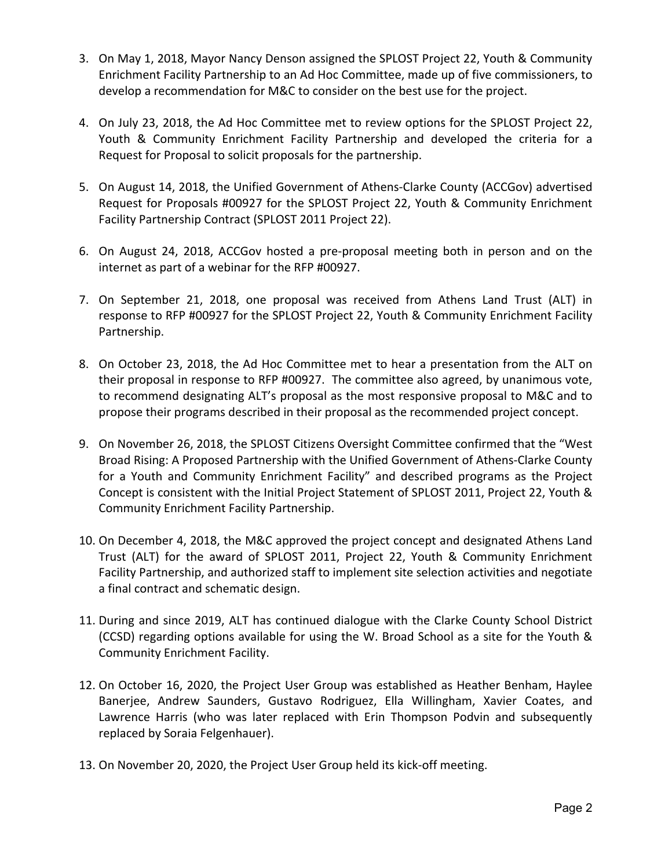- 3. On May 1, 2018, Mayor Nancy Denson assigned the SPLOST Project 22, Youth & Community Enrichment Facility Partnership to an Ad Hoc Committee, made up of five commissioners, to develop a recommendation for M&C to consider on the best use for the project.
- 4. On July 23, 2018, the Ad Hoc Committee met to review options for the SPLOST Project 22, Youth & Community Enrichment Facility Partnership and developed the criteria for a Request for Proposal to solicit proposals for the partnership.
- 5. On August 14, 2018, the Unified Government of Athens-Clarke County (ACCGov) advertised Request for Proposals #00927 for the SPLOST Project 22, Youth & Community Enrichment Facility Partnership Contract (SPLOST 2011 Project 22).
- 6. On August 24, 2018, ACCGov hosted a pre‐proposal meeting both in person and on the internet as part of a webinar for the RFP #00927.
- 7. On September 21, 2018, one proposal was received from Athens Land Trust (ALT) in response to RFP #00927 for the SPLOST Project 22, Youth & Community Enrichment Facility Partnership.
- 8. On October 23, 2018, the Ad Hoc Committee met to hear a presentation from the ALT on their proposal in response to RFP #00927. The committee also agreed, by unanimous vote, to recommend designating ALT's proposal as the most responsive proposal to M&C and to propose their programs described in their proposal as the recommended project concept.
- 9. On November 26, 2018, the SPLOST Citizens Oversight Committee confirmed that the "West Broad Rising: A Proposed Partnership with the Unified Government of Athens‐Clarke County for a Youth and Community Enrichment Facility" and described programs as the Project Concept is consistent with the Initial Project Statement of SPLOST 2011, Project 22, Youth & Community Enrichment Facility Partnership.
- 10. On December 4, 2018, the M&C approved the project concept and designated Athens Land Trust (ALT) for the award of SPLOST 2011, Project 22, Youth & Community Enrichment Facility Partnership, and authorized staff to implement site selection activities and negotiate a final contract and schematic design.
- 11. During and since 2019, ALT has continued dialogue with the Clarke County School District (CCSD) regarding options available for using the W. Broad School as a site for the Youth & Community Enrichment Facility.
- 12. On October 16, 2020, the Project User Group was established as Heather Benham, Haylee Banerjee, Andrew Saunders, Gustavo Rodriguez, Ella Willingham, Xavier Coates, and Lawrence Harris (who was later replaced with Erin Thompson Podvin and subsequently replaced by Soraia Felgenhauer).
- 13. On November 20, 2020, the Project User Group held its kick‐off meeting.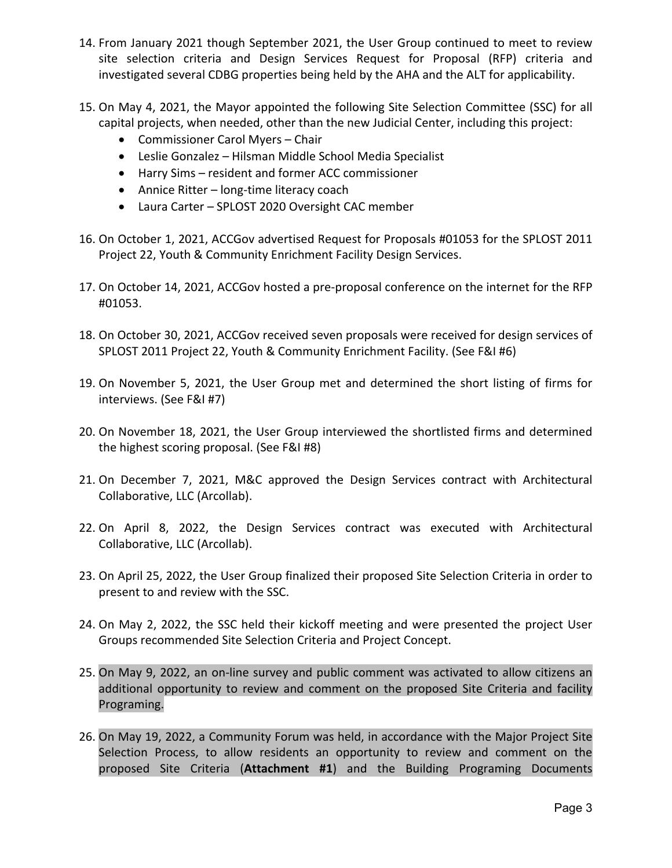- 14. From January 2021 though September 2021, the User Group continued to meet to review site selection criteria and Design Services Request for Proposal (RFP) criteria and investigated several CDBG properties being held by the AHA and the ALT for applicability.
- 15. On May 4, 2021, the Mayor appointed the following Site Selection Committee (SSC) for all capital projects, when needed, other than the new Judicial Center, including this project:
	- Commissioner Carol Myers Chair
	- Leslie Gonzalez Hilsman Middle School Media Specialist
	- Harry Sims resident and former ACC commissioner
	- Annice Ritter long-time literacy coach
	- Laura Carter SPLOST 2020 Oversight CAC member
- 16. On October 1, 2021, ACCGov advertised Request for Proposals #01053 for the SPLOST 2011 Project 22, Youth & Community Enrichment Facility Design Services.
- 17. On October 14, 2021, ACCGov hosted a pre-proposal conference on the internet for the RFP #01053.
- 18. On October 30, 2021, ACCGov received seven proposals were received for design services of SPLOST 2011 Project 22, Youth & Community Enrichment Facility. (See F&I #6)
- 19. On November 5, 2021, the User Group met and determined the short listing of firms for interviews. (See F&I #7)
- 20. On November 18, 2021, the User Group interviewed the shortlisted firms and determined the highest scoring proposal. (See F&I #8)
- 21. On December 7, 2021, M&C approved the Design Services contract with Architectural Collaborative, LLC (Arcollab).
- 22. On April 8, 2022, the Design Services contract was executed with Architectural Collaborative, LLC (Arcollab).
- 23. On April 25, 2022, the User Group finalized their proposed Site Selection Criteria in order to present to and review with the SSC.
- 24. On May 2, 2022, the SSC held their kickoff meeting and were presented the project User Groups recommended Site Selection Criteria and Project Concept.
- 25. On May 9, 2022, an on‐line survey and public comment was activated to allow citizens an additional opportunity to review and comment on the proposed Site Criteria and facility Programing.
- 26. On May 19, 2022, a Community Forum was held, in accordance with the Major Project Site Selection Process, to allow residents an opportunity to review and comment on the proposed Site Criteria (**Attachment #1**) and the Building Programing Documents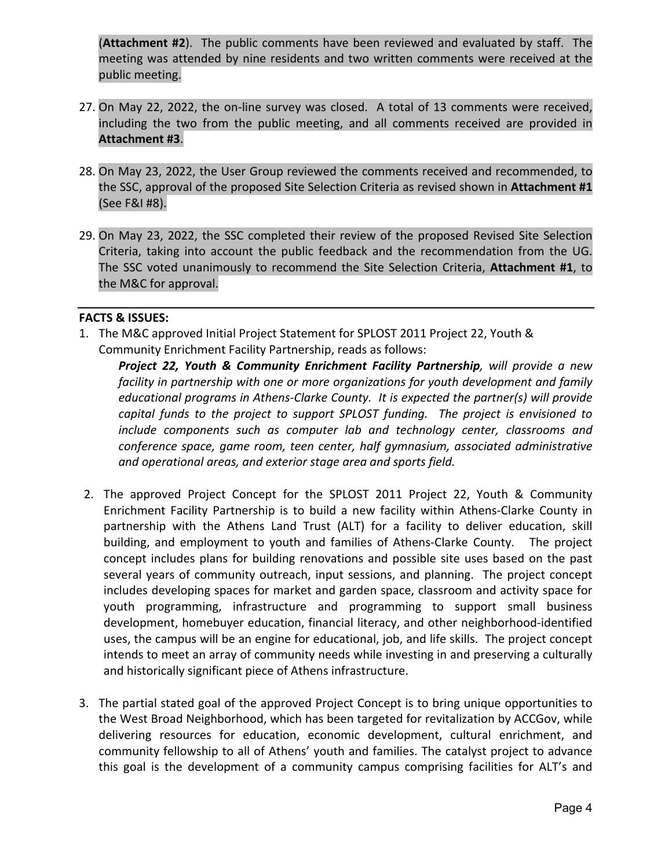(**Attachment #2**). The public comments have been reviewed and evaluated by staff. The meeting was attended by nine residents and two written comments were received at the public meeting.

- 27. On May 22, 2022, the on-line survey was closed. A total of 13 comments were received, including the two from the public meeting, and all comments received are provided in **Attachment #3**.
- 28. On May 23, 2022, the User Group reviewed the comments received and recommended, to the SSC, approval of the proposed Site Selection Criteria as revised shown in **Attachment #1**  (See F&I #8).
- 29. On May 23, 2022, the SSC completed their review of the proposed Revised Site Selection Criteria, taking into account the public feedback and the recommendation from the UG. The SSC voted unanimously to recommend the Site Selection Criteria, **Attachment #1**, to the M&C for approval.

#### **FACTS & ISSUES:**

1. The M&C approved Initial Project Statement for SPLOST 2011 Project 22, Youth & Community Enrichment Facility Partnership, reads as follows:

*Project 22, Youth & Community Enrichment Facility Partnership, will provide a new facility in partnership with one or more organizations for youth development and family educational programs in Athens‐Clarke County. It is expected the partner(s) will provide capital funds to the project to support SPLOST funding. The project is envisioned to include components such as computer lab and technology center, classrooms and conference space, game room, teen center, half gymnasium, associated administrative and operational areas, and exterior stage area and sports field.* 

- 2. The approved Project Concept for the SPLOST 2011 Project 22, Youth & Community Enrichment Facility Partnership is to build a new facility within Athens‐Clarke County in partnership with the Athens Land Trust (ALT) for a facility to deliver education, skill building, and employment to youth and families of Athens-Clarke County. The project concept includes plans for building renovations and possible site uses based on the past several years of community outreach, input sessions, and planning. The project concept includes developing spaces for market and garden space, classroom and activity space for youth programming, infrastructure and programming to support small business development, homebuyer education, financial literacy, and other neighborhood‐identified uses, the campus will be an engine for educational, job, and life skills. The project concept intends to meet an array of community needs while investing in and preserving a culturally and historically significant piece of Athens infrastructure.
- 3. The partial stated goal of the approved Project Concept is to bring unique opportunities to the West Broad Neighborhood, which has been targeted for revitalization by ACCGov, while delivering resources for education, economic development, cultural enrichment, and community fellowship to all of Athens' youth and families. The catalyst project to advance this goal is the development of a community campus comprising facilities for ALT's and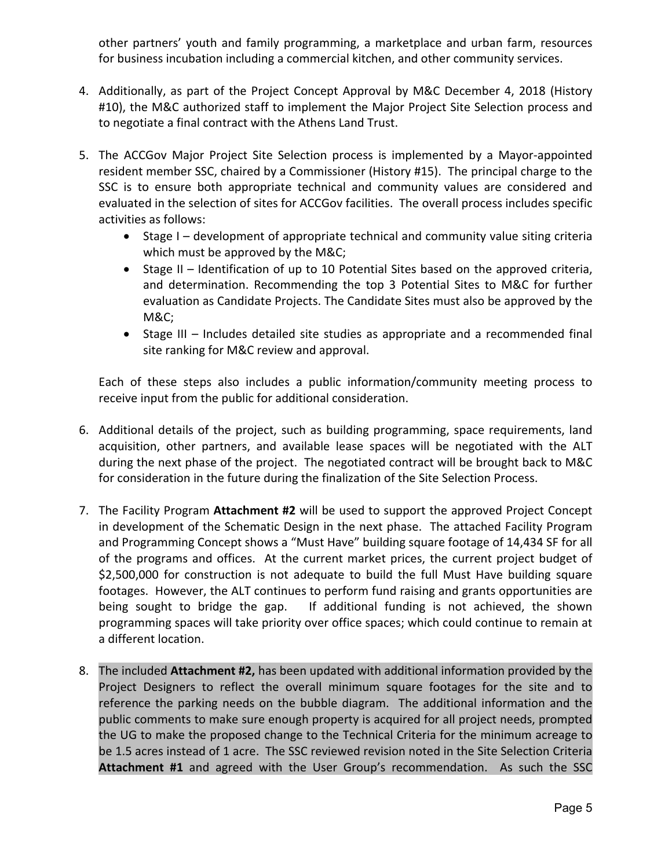other partners' youth and family programming, a marketplace and urban farm, resources for business incubation including a commercial kitchen, and other community services.

- 4. Additionally, as part of the Project Concept Approval by M&C December 4, 2018 (History #10), the M&C authorized staff to implement the Major Project Site Selection process and to negotiate a final contract with the Athens Land Trust.
- 5. The ACCGov Major Project Site Selection process is implemented by a Mayor-appointed resident member SSC, chaired by a Commissioner (History #15). The principal charge to the SSC is to ensure both appropriate technical and community values are considered and evaluated in the selection of sites for ACCGov facilities. The overall process includes specific activities as follows:
	- Stage I development of appropriate technical and community value siting criteria which must be approved by the M&C;
	- Stage II Identification of up to 10 Potential Sites based on the approved criteria, and determination. Recommending the top 3 Potential Sites to M&C for further evaluation as Candidate Projects. The Candidate Sites must also be approved by the M&C;
	- Stage III Includes detailed site studies as appropriate and a recommended final site ranking for M&C review and approval.

Each of these steps also includes a public information/community meeting process to receive input from the public for additional consideration.

- 6. Additional details of the project, such as building programming, space requirements, land acquisition, other partners, and available lease spaces will be negotiated with the ALT during the next phase of the project. The negotiated contract will be brought back to M&C for consideration in the future during the finalization of the Site Selection Process.
- 7. The Facility Program **Attachment #2** will be used to support the approved Project Concept in development of the Schematic Design in the next phase. The attached Facility Program and Programming Concept shows a "Must Have" building square footage of 14,434 SF for all of the programs and offices. At the current market prices, the current project budget of \$2,500,000 for construction is not adequate to build the full Must Have building square footages. However, the ALT continues to perform fund raising and grants opportunities are being sought to bridge the gap. If additional funding is not achieved, the shown programming spaces will take priority over office spaces; which could continue to remain at a different location.
- 8. The included **Attachment #2,** has been updated with additional information provided by the Project Designers to reflect the overall minimum square footages for the site and to reference the parking needs on the bubble diagram. The additional information and the public comments to make sure enough property is acquired for all project needs, prompted the UG to make the proposed change to the Technical Criteria for the minimum acreage to be 1.5 acres instead of 1 acre. The SSC reviewed revision noted in the Site Selection Criteria **Attachment #1** and agreed with the User Group's recommendation. As such the SSC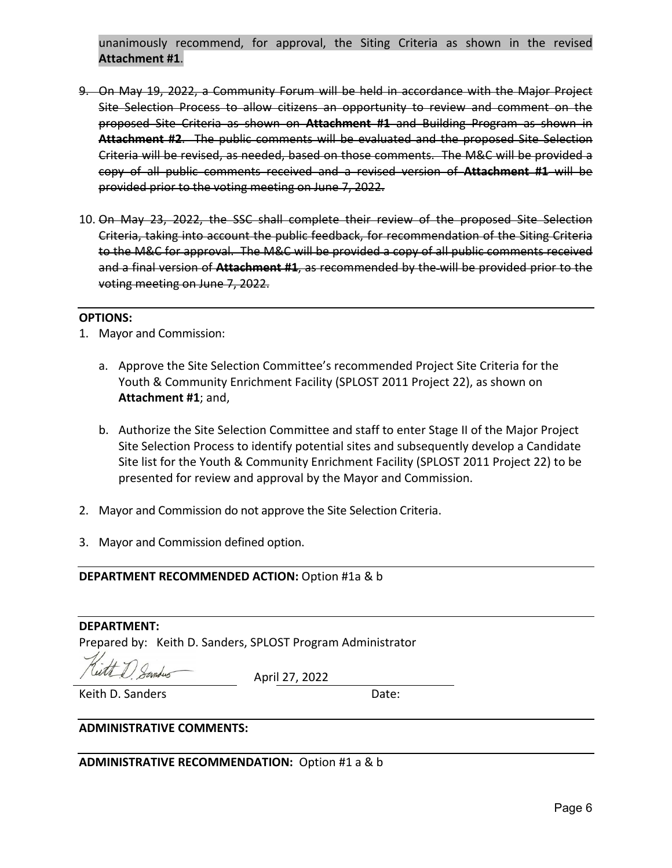unanimously recommend, for approval, the Siting Criteria as shown in the revised **Attachment #1**.

- 9. On May 19, 2022, a Community Forum will be held in accordance with the Major Project Site Selection Process to allow citizens an opportunity to review and comment on the proposed Site Criteria as shown on **Attachment #1** and Building Program as shown in Attachment #2. The public comments will be evaluated and the proposed Site Selection Criteria will be revised, as needed, based on those comments. The M&C will be provided a copy of all public comments received and a revised version of **Attachment #1** will be provided prior to the voting meeting on June 7, 2022.
- 10. On May 23, 2022, the SSC shall complete their review of the proposed Site Selection Criteria, taking into account the public feedback, for recommendation of the Siting Criteria to the M&C for approval. The M&C will be provided a copy of all public comments received and a final version of **Attachment #1**, as recommended by the will be provided prior to the voting meeting on June 7, 2022.

#### **OPTIONS:**

- 1. Mayor and Commission:
	- a. Approve the Site Selection Committee's recommended Project Site Criteria for the Youth & Community Enrichment Facility (SPLOST 2011 Project 22), as shown on **Attachment #1**; and,
	- b. Authorize the Site Selection Committee and staff to enter Stage II of the Major Project Site Selection Process to identify potential sites and subsequently develop a Candidate Site list for the Youth & Community Enrichment Facility (SPLOST 2011 Project 22) to be presented for review and approval by the Mayor and Commission.
- 2. Mayor and Commission do not approve the Site Selection Criteria.
- 3. Mayor and Commission defined option.

#### **DEPARTMENT RECOMMENDED ACTION:** Option #1a & b

#### **DEPARTMENT:**

Prepared by: Keith D. Sanders, SPLOST Program Administrator

April 27, 2022

Keith D. Sanders  **Date:** 

#### **ADMINISTRATIVE COMMENTS:**

ADMINISTRATIVE RECOMMENDATION: Option #1 a & b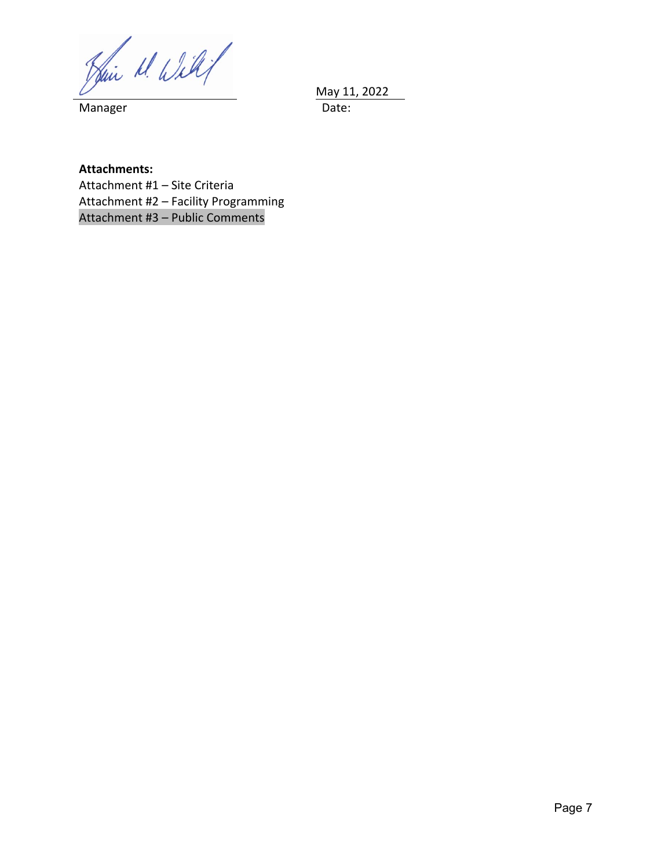May 11, 2022

**Manager** 

**Attachments:** Attachment #1 – Site Criteria Attachment #2 – Facility Programming Attachment #3 – Public Comments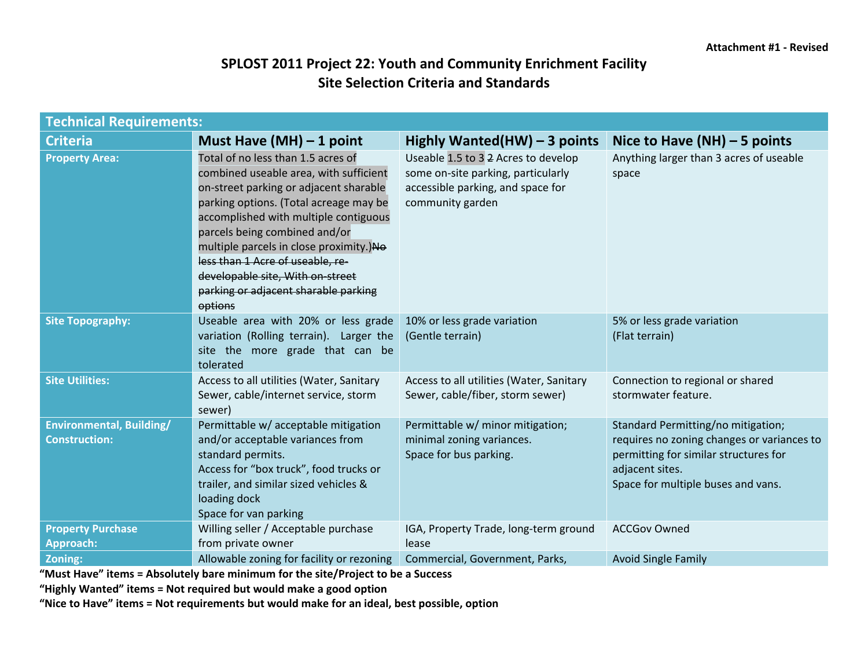## **SPLOST 2011 Project 22: Youth and Community Enrichment Facility Site Selection Criteria and Standards**

| <b>Technical Requirements:</b>                          |                                                                                                                                                                                                                                                                                                                                                                                                                  |                                                                                                                                    |                                                                                                                                                                                    |  |  |  |  |  |  |  |  |
|---------------------------------------------------------|------------------------------------------------------------------------------------------------------------------------------------------------------------------------------------------------------------------------------------------------------------------------------------------------------------------------------------------------------------------------------------------------------------------|------------------------------------------------------------------------------------------------------------------------------------|------------------------------------------------------------------------------------------------------------------------------------------------------------------------------------|--|--|--|--|--|--|--|--|
| <b>Criteria</b>                                         | Must Have $(MH) - 1$ point                                                                                                                                                                                                                                                                                                                                                                                       | Highly Wanted(HW) $-$ 3 points                                                                                                     | Nice to Have $(NH)$ – 5 points                                                                                                                                                     |  |  |  |  |  |  |  |  |
| <b>Property Area:</b>                                   | Total of no less than 1.5 acres of<br>combined useable area, with sufficient<br>on-street parking or adjacent sharable<br>parking options. (Total acreage may be<br>accomplished with multiple contiguous<br>parcels being combined and/or<br>multiple parcels in close proximity.)No<br>less than 1 Acre of useable, re-<br>developable site, With on-street<br>parking or adjacent sharable parking<br>options | Useable 1.5 to 3 2 Acres to develop<br>some on-site parking, particularly<br>accessible parking, and space for<br>community garden | Anything larger than 3 acres of useable<br>space                                                                                                                                   |  |  |  |  |  |  |  |  |
| <b>Site Topography:</b>                                 | Useable area with 20% or less grade<br>variation (Rolling terrain). Larger the<br>site the more grade that can be<br>tolerated                                                                                                                                                                                                                                                                                   | 10% or less grade variation<br>(Gentle terrain)                                                                                    | 5% or less grade variation<br>(Flat terrain)                                                                                                                                       |  |  |  |  |  |  |  |  |
| <b>Site Utilities:</b>                                  | Access to all utilities (Water, Sanitary<br>Sewer, cable/internet service, storm<br>sewer)                                                                                                                                                                                                                                                                                                                       | Access to all utilities (Water, Sanitary<br>Sewer, cable/fiber, storm sewer)                                                       | Connection to regional or shared<br>stormwater feature.                                                                                                                            |  |  |  |  |  |  |  |  |
| <b>Environmental, Building/</b><br><b>Construction:</b> | Permittable w/ acceptable mitigation<br>and/or acceptable variances from<br>standard permits.<br>Access for "box truck", food trucks or<br>trailer, and similar sized vehicles &<br>loading dock<br>Space for van parking                                                                                                                                                                                        | Permittable w/ minor mitigation;<br>minimal zoning variances.<br>Space for bus parking.                                            | Standard Permitting/no mitigation;<br>requires no zoning changes or variances to<br>permitting for similar structures for<br>adjacent sites.<br>Space for multiple buses and vans. |  |  |  |  |  |  |  |  |
| <b>Property Purchase</b><br><b>Approach:</b>            | Willing seller / Acceptable purchase<br>from private owner                                                                                                                                                                                                                                                                                                                                                       | IGA, Property Trade, long-term ground<br>lease                                                                                     | <b>ACCGov Owned</b>                                                                                                                                                                |  |  |  |  |  |  |  |  |
| Zoning:                                                 | Allowable zoning for facility or rezoning                                                                                                                                                                                                                                                                                                                                                                        | Commercial, Government, Parks,                                                                                                     | <b>Avoid Single Family</b>                                                                                                                                                         |  |  |  |  |  |  |  |  |

**"Must Have" items = Absolutely bare minimum for the site/Project to be a Success** 

**"Highly Wanted" items = Not required but would make a good option** 

**"Nice to Have" items = Not requirements but would make for an ideal, best possible, option**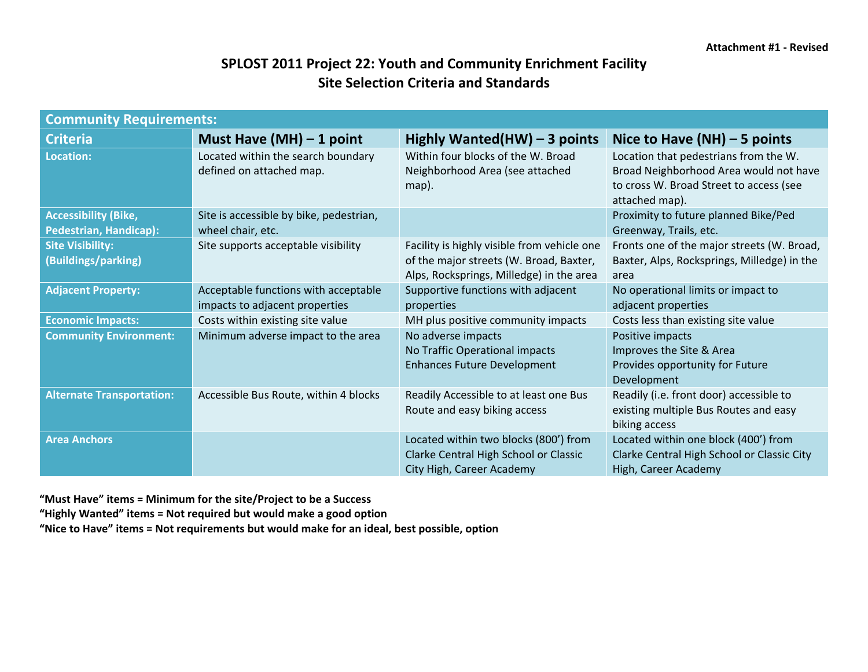## **SPLOST 2011 Project 22: Youth and Community Enrichment Facility Site Selection Criteria and Standards**

| <b>Community Requirements:</b>                               |                                                                        |                                                                                                                                    |                                                                                                                                              |  |  |  |  |  |  |  |  |
|--------------------------------------------------------------|------------------------------------------------------------------------|------------------------------------------------------------------------------------------------------------------------------------|----------------------------------------------------------------------------------------------------------------------------------------------|--|--|--|--|--|--|--|--|
| <b>Criteria</b>                                              | Must Have $(MH) - 1$ point                                             | Highly Wanted(HW) $-$ 3 points                                                                                                     | Nice to Have $(NH)$ – 5 points                                                                                                               |  |  |  |  |  |  |  |  |
| <b>Location:</b>                                             | Located within the search boundary<br>defined on attached map.         | Within four blocks of the W. Broad<br>Neighborhood Area (see attached<br>map).                                                     | Location that pedestrians from the W.<br>Broad Neighborhood Area would not have<br>to cross W. Broad Street to access (see<br>attached map). |  |  |  |  |  |  |  |  |
| <b>Accessibility (Bike,</b><br><b>Pedestrian, Handicap):</b> | Site is accessible by bike, pedestrian,<br>wheel chair, etc.           |                                                                                                                                    | Proximity to future planned Bike/Ped<br>Greenway, Trails, etc.                                                                               |  |  |  |  |  |  |  |  |
| <b>Site Visibility:</b><br>(Buildings/parking)               | Site supports acceptable visibility                                    | Facility is highly visible from vehicle one<br>of the major streets (W. Broad, Baxter,<br>Alps, Rocksprings, Milledge) in the area | Fronts one of the major streets (W. Broad,<br>Baxter, Alps, Rocksprings, Milledge) in the<br>area                                            |  |  |  |  |  |  |  |  |
| <b>Adjacent Property:</b>                                    | Acceptable functions with acceptable<br>impacts to adjacent properties | Supportive functions with adjacent<br>properties                                                                                   | No operational limits or impact to<br>adjacent properties                                                                                    |  |  |  |  |  |  |  |  |
| <b>Economic Impacts:</b>                                     | Costs within existing site value                                       | MH plus positive community impacts                                                                                                 | Costs less than existing site value                                                                                                          |  |  |  |  |  |  |  |  |
| <b>Community Environment:</b>                                | Minimum adverse impact to the area                                     | No adverse impacts<br>No Traffic Operational impacts<br><b>Enhances Future Development</b>                                         | Positive impacts<br>Improves the Site & Area<br>Provides opportunity for Future<br>Development                                               |  |  |  |  |  |  |  |  |
| <b>Alternate Transportation:</b>                             | Accessible Bus Route, within 4 blocks                                  | Readily Accessible to at least one Bus<br>Route and easy biking access                                                             | Readily (i.e. front door) accessible to<br>existing multiple Bus Routes and easy<br>biking access                                            |  |  |  |  |  |  |  |  |
| <b>Area Anchors</b>                                          |                                                                        | Located within two blocks (800') from<br>Clarke Central High School or Classic<br>City High, Career Academy                        | Located within one block (400') from<br>Clarke Central High School or Classic City<br>High, Career Academy                                   |  |  |  |  |  |  |  |  |

**"Must Have" items = Minimum for the site/Project to be a Success** 

**"Highly Wanted" items = Not required but would make a good option** 

**"Nice to Have" items = Not requirements but would make for an ideal, best possible, option**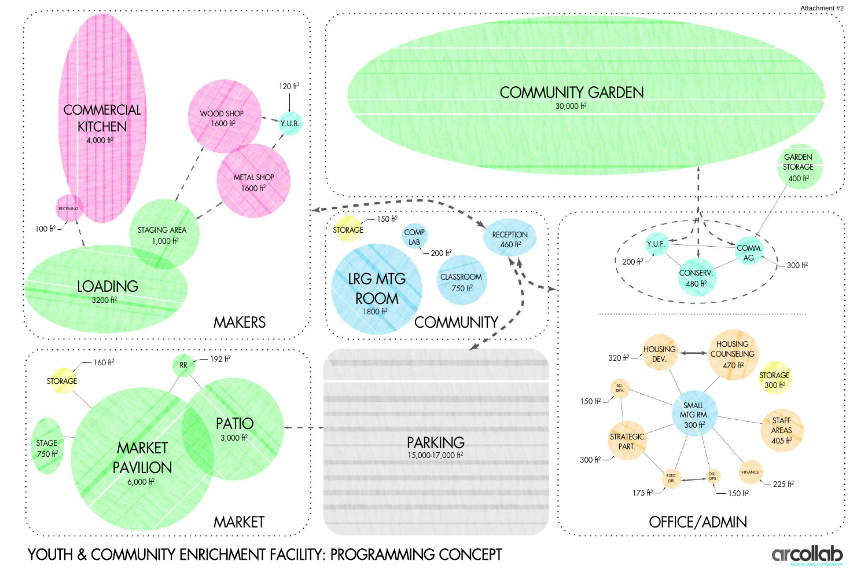

# YOUTH & COMMUNITY ENRICHMENT FACILITY: PROGRAMMING CONCEPT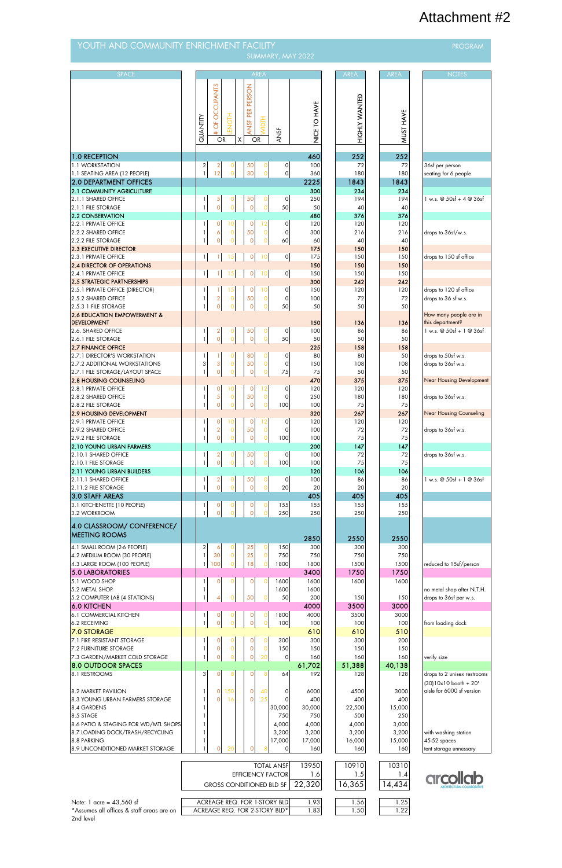| YOUTH AND COMMUNITY ENRICHMENT FACILITY<br><b>PROGRAM</b><br>SUMMARY, MAY 2022 |  |                                       |                                         |                               |                            |                               |                                |              |  |                              |                                 |                                            |
|--------------------------------------------------------------------------------|--|---------------------------------------|-----------------------------------------|-------------------------------|----------------------------|-------------------------------|--------------------------------|--------------|--|------------------------------|---------------------------------|--------------------------------------------|
|                                                                                |  |                                       |                                         |                               |                            |                               |                                |              |  |                              |                                 |                                            |
| <b>SPACE</b>                                                                   |  | QUANTITY                              | <b>OCCUPANTS</b><br>ð<br>#<br><b>OR</b> | H5<br>1                       | ANSF PER PERSON<br>χ<br>OR | <b>AREA</b><br><b>MIDTH</b>   | <b>ANSF</b>                    | NICE TO HAVE |  | <b>AREA</b><br>HIGHLY WANTED | <b>AREA</b><br><b>MUST HAVE</b> | <b>NOTES</b>                               |
| <b>1.0 RECEPTION</b>                                                           |  |                                       |                                         |                               |                            |                               |                                | 460          |  | 252                          | 252                             |                                            |
| 1.1 WORKSTATION                                                                |  | $\overline{a}$                        | 2                                       | 0                             | 50                         | 0                             | $\circ$                        | 100          |  | 72                           | 72                              | 36sf per person                            |
| 1.1 SEATING AREA (12 PEOPLE)                                                   |  | $\mathbf{1}$                          | 12                                      | $\overline{0}$                | 30                         | $\overline{O}$                | $\circ$                        | 360          |  | 180                          | 180                             | seating for 6 people                       |
| <b>2.0 DEPARTMENT OFFICES</b>                                                  |  |                                       |                                         |                               |                            |                               |                                | 2225         |  | 1843                         | 1843                            |                                            |
| 2.1 COMMUNITY AGRICULTURE                                                      |  |                                       |                                         |                               |                            |                               |                                | 300          |  | 234                          | 234                             |                                            |
| 2.1.1 SHARED OFFICE<br>2.1.1 FILE STORAGE                                      |  | $\mathbf{1}$                          | 5<br>$\overline{O}$                     | $\overline{O}$                | 50<br>$\mathbf 0$          | 0<br>$\overline{O}$           | $\circ$<br>50                  | 250<br>50    |  | 194<br>40                    | 194<br>40                       | $1 w.s. @ 50sf + 4 @ 36sf$                 |
| 2.2 CONSERVATION                                                               |  |                                       |                                         |                               |                            |                               |                                | 480          |  | 376                          | 376                             |                                            |
| 2.2.1 PRIVATE OFFICE                                                           |  | 1                                     | 0                                       | 10                            | $\mathbf 0$                | 12                            | $\circ$                        | 120          |  | 120                          | 120                             |                                            |
| 2.2.2 SHARED OFFICE                                                            |  | $\ensuremath{\mathsf{1}}$             | 6                                       | $\mathbf 0$                   | 50                         | $\mathsf{O}\xspace$           | $\mathsf O$                    | 300          |  | 216                          | 216                             | drops to 36sf/w.s.                         |
| 2.2.2 FILE STORAGE                                                             |  | $\mathbf{1}$                          | $\overline{0}$                          | $\overline{O}$                | $\circ$                    | $\overline{O}$                | 60                             | 60           |  | 40                           | 40                              |                                            |
| <b>2.3 EXECUTIVE DIRECTOR</b><br>2.3.1 PRIVATE OFFICE                          |  | $\frac{1}{2}$                         |                                         | 15                            | $\circ$                    | 10                            | $\circ$                        | 175<br>175   |  | 150<br>150                   | 150<br>150                      | drops to 150 sf office                     |
| <b>2.4 DIRECTOR OF OPERATIONS</b>                                              |  |                                       |                                         |                               |                            |                               |                                | 150          |  | 150                          | 150                             |                                            |
| 2.4.1 PRIVATE OFFICE                                                           |  | 1                                     |                                         | 15                            | $\mathsf O$                | 10                            | $\circ$                        | 150          |  | 150                          | 150                             |                                            |
| 2.5 STRATEGIC PARTNERSHIPS                                                     |  |                                       |                                         |                               |                            |                               |                                | 300          |  | 242                          | 242                             |                                            |
| 2.5.1 PRIVATE OFFICE (DIRECTOR)                                                |  | 1                                     |                                         | 15                            | $\mathsf{O}$               | 10                            | $\circ$                        | 150          |  | 120                          | 120                             | drops to 120 sf office                     |
| 2.5.2 SHARED OFFICE<br>2.5.3 1 FILE STORAGE                                    |  | $\mathbf{1}$<br>$\mathbf{1}$          | $\overline{c}$<br>$\overline{O}$        | $\mathbf 0$<br>$\overline{O}$ | 50<br>$\mathbf 0$          | $\mathbf 0$<br>$\overline{0}$ | $\circ$<br>50                  | 100<br>50    |  | 72<br>50                     | 72<br>50                        | drops to 36 sf w.s.                        |
| 2.6 EDUCATION EMPOWERMENT &<br><b>DEVELOPMENT</b>                              |  |                                       |                                         |                               |                            |                               |                                | 150          |  | 136                          | 136                             | How many people are in<br>this department? |
| 2.6. SHARED OFFICE                                                             |  | $\mathbf{1}$                          | 2                                       |                               | 50                         | 0                             | $\circ$                        | 100          |  | 86                           | 86                              | 1 w.s. @ 50sf + 1 @ 36sf                   |
| 2.6.1 FILE STORAGE                                                             |  | $\mathbf{1}$                          | $\overline{O}$                          | $\overline{O}$                | $\circ$                    | $\overline{O}$                | 50                             | 50           |  | 50                           | 50                              |                                            |
| 2.7 FINANCE OFFICE                                                             |  |                                       |                                         |                               |                            |                               |                                | 225          |  | 158                          | 158                             |                                            |
| 12.7.1 director's workstation<br>2.7.2 ADDITIONAL WORKSTATIONS                 |  | 1 <sup>1</sup>                        | $\overline{1}$                          | $\circ$                       | 80<br>50                   | $\mathbf{O}$                  | $\circ$<br>$\mathsf{O}\xspace$ | 80<br>150    |  | 80<br>108                    | 50<br>108                       | drops to 50sf w.s.                         |
| 2.7.1 FILE STORAGE/LAYOUT SPACE                                                |  | $\begin{array}{c} 3 \\ 1 \end{array}$ | 3<br>$\overline{O}$                     | 0<br>$\overline{O}$           | $\circ$                    | $\mathbf 0$<br>0              | $75\,$                         | 75           |  | 50                           | 50                              | drops to 36sf w.s.                         |
| <b>2.8 HOUSING COUNSELING</b>                                                  |  |                                       |                                         |                               |                            |                               |                                | 470          |  | 375                          | 375                             | <b>Near Housing Development</b>            |
| 2.8.1 PRIVATE OFFICE                                                           |  |                                       | $\mathbf 0$                             | 10                            | $\circ$                    | 12                            | $\circ$                        | 120          |  | 120                          | 120                             |                                            |
| 2.8.2 SHARED OFFICE                                                            |  |                                       | 5                                       | $\mathsf{O}\xspace$           | 50                         | $\mathsf{O}\xspace$           | $\circ$                        | 250          |  | 180                          | 180                             | drops to 36sf w.s.                         |
| 2.8.2 FILE STORAGE                                                             |  | $\mathbf{1}$                          | $\overline{O}$                          | $\overline{O}$                | $\circ$                    | 0                             | 100                            | 100          |  | 75                           | 75                              |                                            |
| <b>2.9 HOUSING DEVELOPMENT</b><br>2.9.1 PRIVATE OFFICE                         |  |                                       | 0                                       | 10                            | $\mathsf{O}$               | 12                            | $\circ$                        | 320<br>120   |  | 267<br>120                   | 267<br>120                      | <b>Near Housing Counseling</b>             |
| 2.9.2 SHARED OFFICE                                                            |  |                                       | $\overline{2}$                          | $\mathsf{O}\xspace$           | 50                         | $\mathsf O$                   | $\circ$                        | 100          |  | 72                           | $\mathbf{72}$                   | drops to 36sf w.s.                         |
| 2.9.2 FILE STORAGE                                                             |  | $\mathbf{1}$                          | $\overline{O}$                          | $\overline{O}$                | $\mathbf 0$                | $\mathsf{O}\xspace$           | 100                            | 100          |  | 75                           | 75                              |                                            |
| 2.10 YOUNG URBAN FARMERS                                                       |  |                                       |                                         |                               |                            |                               |                                | 200          |  | 147                          | 147                             |                                            |
| 2.10.1 SHARED OFFICE                                                           |  | $\mathbf{1}$<br>$\mathbf{1}$          | $\overline{c}$<br>$\circ$               | $\overline{O}$                | 50                         | 0<br>$\overline{O}$           | $\circ$<br>100                 | 100          |  | 72                           | 72<br>75                        | drops to 36sf w.s.                         |
| 2.10.1 FILE STORAGE<br><b>2.11 YOUNG URBAN BUILDERS</b>                        |  |                                       |                                         |                               | $\mathbf 0$                |                               |                                | 100<br>120   |  | 75<br>106                    | 106                             |                                            |
| 2.11.1 SHARED OFFICE                                                           |  | $\mathbf{1}$                          | 2                                       |                               | 50                         | 0                             | $\circ$                        | 100          |  | 86                           | 86                              | 1 w.s. @ 50sf + 1 @ 36sf                   |
| 2.11.2 FILE STORAGE                                                            |  | $\mathbf{1}$                          | $\overline{O}$                          | $\overline{O}$                | $\mathbf 0$                | $\overline{O}$                | 20                             | 20           |  | 20                           | 20                              |                                            |
| 3.0 STAFF AREAS                                                                |  |                                       |                                         |                               |                            |                               |                                | 405          |  | 405                          | 405                             |                                            |
| 3.1 KITCHENETTE (10 PEOPLE)<br>3.2 WORKROOM                                    |  | $\mathbf{1}$<br>$\mathbf{1}$          | $\overline{O}$                          |                               | 0<br>$\overline{O}$        | 0<br>$\overline{0}$           | 155<br>250                     | 155<br>250   |  | 155<br>250                   | 155<br>250                      |                                            |
| 4.0 CLASSROOM/ CONFERENCE/<br><b>MEETING ROOMS</b>                             |  |                                       |                                         |                               |                            |                               |                                | 2850         |  | 2550                         | 2550                            |                                            |
| 4.1 SMALL ROOM (2-6 PEOPLE)                                                    |  | $\overline{\mathbf{c}}$               | 6                                       | 0                             | 25                         | 0                             | 150                            | 300          |  | 300                          | 300                             |                                            |
| 4.2 MEDIUM ROOM (30 PEOPLE)                                                    |  |                                       | 30                                      | $\mathbf 0$                   | 25                         | $\mathsf{O}\xspace$           | 750                            | 750          |  | 750                          | 750                             |                                            |
| 4.3 LARGE ROOM (100 PEOPLE)<br>5.0 LABORATORIES                                |  | $\frac{1}{2}$                         | 100                                     | $\overline{O}$                | 18                         | 0                             | 1800                           | 1800<br>3400 |  | 1500<br>1750                 | 1500<br>1750                    | reduced to 15sf/person                     |
| 5.1 WOOD SHOP                                                                  |  |                                       | $\mathbf{O}$                            |                               | $\mathbf 0$                | 0                             | 1600                           | 1600         |  | 1600                         | 1600                            |                                            |
| 5.2 METAL SHOP                                                                 |  |                                       |                                         |                               |                            |                               | 1600                           | 1600         |  |                              |                                 | no metal shop after N.T.H.                 |
| 5.2 COMPUTER LAB (4 STATIONS)                                                  |  | $\mathbf{1}$                          | $\overline{\mathcal{A}}$                | $\overline{O}$                | 50                         | $\overline{O}$                | 50                             | 200          |  | 150                          | 150                             | drops to 36sf per w.s.                     |
| <b>6.0 KITCHEN</b>                                                             |  |                                       |                                         |                               |                            |                               |                                | 4000         |  | 3500                         | 3000                            |                                            |
| 6.1 COMMERCIAL KITCHEN                                                         |  | $\mathbf{1}$                          | 0                                       |                               | $\mathbf 0$                | 0                             | 1800                           | 4000         |  | 3500                         | 3000                            |                                            |
| 6.2 RECEIVING                                                                  |  | $\frac{1}{2}$                         | $\overline{O}$                          | $\overline{0}$                | $\circ$                    | $\overline{O}$                | 100                            | 100          |  | 100                          | 100                             | from loading dock                          |
| <b>7.0 STORAGE</b>                                                             |  |                                       |                                         |                               |                            |                               |                                | 610          |  | 610                          | 510                             |                                            |

| <b>7.1 FIRE RESISTANT STORAGE</b>         |   | $\Omega$ |     | $\circ$  | $\Omega$ | 300                                 | 300    | 300    | 200    |                             |
|-------------------------------------------|---|----------|-----|----------|----------|-------------------------------------|--------|--------|--------|-----------------------------|
| <b>7.2 FURNITURE STORAGE</b>              |   | $\Omega$ |     | $\Omega$ | $\Omega$ | 150                                 | 150    | 150    | 150    |                             |
| 7.3 GARDEN/MARKET COLD STORAGE            |   |          |     | $\Omega$ | 20       |                                     | 160    | 160    | 160    | verify size                 |
| <b>18.0 OUTDOOR SPACES</b>                |   |          |     |          |          |                                     | 61,702 | 51,388 | 40,138 |                             |
| 8.1 RESTROOMS                             | 3 |          |     |          |          | 64                                  | 192    | 128    | 128    | drops to 2 unisex restrooms |
|                                           |   |          |     |          |          |                                     |        |        |        | $(30)10x10$ booth + 20'     |
| <b>8.2 MARKET PAVILION</b>                |   | $\Omega$ | 150 | $\Omega$ | 40       |                                     | 6000   | 4500   | 3000   | aisle for 6000 sf version   |
| 8.3 YOUNG URBAN FARMERS STORAGE           |   | $\Omega$ | 16  | $\Omega$ | 25       |                                     | 400    | 400    | 400    |                             |
| 8.4 GARDENS                               |   |          |     |          |          | 30,000                              | 30,000 | 22,500 | 15,000 |                             |
| 8.5 STAGE                                 |   |          |     |          |          | 750                                 | 750    | 500    | 250    |                             |
| 8.6 PATIO & STAGING FOR WD/MTL SHOPS      |   |          |     |          |          | 4,000                               | 4,000  | 4,000  | 3,000  |                             |
| 8.7 LOADING DOCK/TRASH/RECYCLING          |   |          |     |          |          | 3,200                               | 3,200  | 3,200  | 3,200  | with washing station        |
| 8.8 PARKING                               |   |          |     |          |          | 17,000                              | 17,000 | 16,000 | 15,000 | 45-52 spaces                |
| <b>8.9 UNCONDITIONED MARKET STORAGE</b>   |   |          | 2C  | $\cap$   |          |                                     | 160    | 160    | 160    | tent storage unnessary      |
|                                           |   |          |     |          |          |                                     |        |        |        |                             |
|                                           |   |          |     |          |          | <b>TOTAL ANSF</b>                   | 13950  | 10910  | 10310  |                             |
|                                           |   |          |     |          |          | <b>EFFICIENCY FACTOR</b>            | 1.6    | 1.5    | 1.4    |                             |
|                                           |   |          |     |          |          | <b>GROSS CONDITIONED BLD SF</b>     | 22,320 | 16,365 | 14,434 |                             |
| Note: 1 $\alpha$ cre = 43,560 sf          |   |          |     |          |          | <b>ACREAGE REQ. FOR 1-STORY BLD</b> | 1.93   | 1.56   | .25    |                             |
| *Assumes all offices & staff areas are on |   |          |     |          |          | ACREAGE REQ. FOR 2-STORY BLD*       | 1.83   | 1.50   | 1.22   |                             |
| 2nd level                                 |   |          |     |          |          |                                     |        |        |        |                             |

# Attachment #2